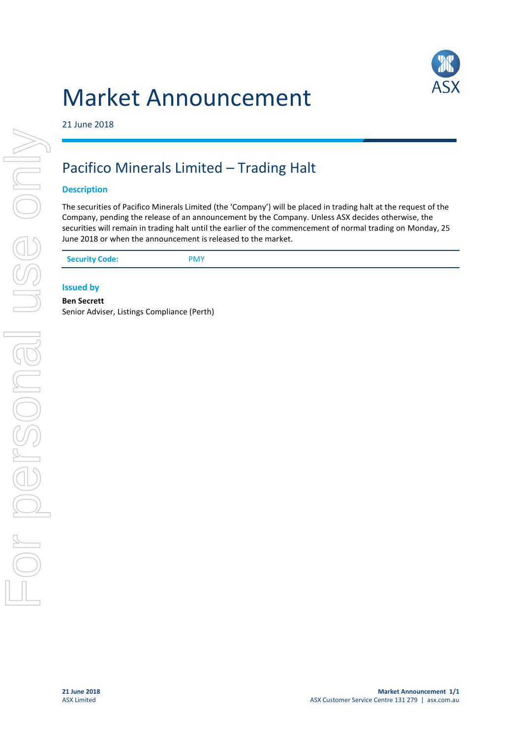# Market Announcement



21 June 2018

## Pacifico Minerals Limited – Trading Halt

### **Description**

The securities of Pacifico Minerals Limited (the 'Company') will be placed in trading halt at the request of the Company, pending the release of an announcement by the Company. Unless ASX decides otherwise, the securities will remain in trading halt until the earlier of the commencement of normal trading on Monday, 25 June 2018 or when the announcement is released to the market.

### **Issued by**

**Ben Secrett** Senior Adviser, Listings Compliance (Perth)